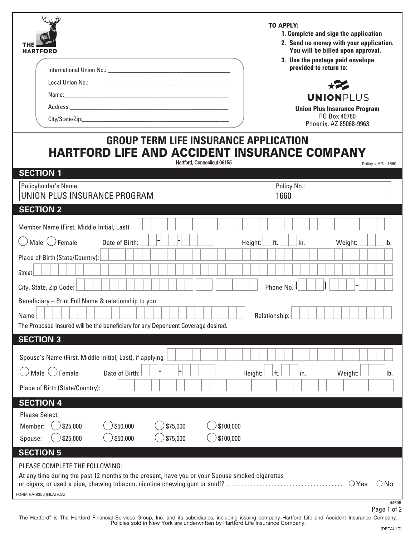| <b>HARTFORD</b><br>Local Union No.:                                                                                                                                              | <b>TO APPLY:</b><br>1. Complete and sign the application<br>2. Send no money with your application.<br>You will be billed upon approval.<br>3. Use the postage paid envelope<br>provided to return to:<br>$\star$<br><b>UNIONPLUS</b><br><b>Union Plus Insurance Program</b><br>PO Box 40760<br>Phoenix, AZ 85068-9963 |  |  |  |  |  |  |  |
|----------------------------------------------------------------------------------------------------------------------------------------------------------------------------------|------------------------------------------------------------------------------------------------------------------------------------------------------------------------------------------------------------------------------------------------------------------------------------------------------------------------|--|--|--|--|--|--|--|
| <b>GROUP TERM LIFE INSURANCE APPLICATION</b><br><b>HARTFORD LIFE AND ACCIDENT INSURANCE COMPANY</b><br>Hartford, Connecticut 06155<br>Policy # AGL-1660                          |                                                                                                                                                                                                                                                                                                                        |  |  |  |  |  |  |  |
| <b>SECTION 1</b><br>Policyholder's Name                                                                                                                                          | Policy No.:                                                                                                                                                                                                                                                                                                            |  |  |  |  |  |  |  |
| UNION PLUS INSURANCE PROGRAM<br><b>SECTION 2</b>                                                                                                                                 | 1660                                                                                                                                                                                                                                                                                                                   |  |  |  |  |  |  |  |
| Member Name (First, Middle Initial, Last)                                                                                                                                        |                                                                                                                                                                                                                                                                                                                        |  |  |  |  |  |  |  |
| Male $\langle \ \rangle$ Female<br>Date of Birth:                                                                                                                                | ft.<br>in.<br>Height:<br>Weight:<br>Ib.                                                                                                                                                                                                                                                                                |  |  |  |  |  |  |  |
| Place of Birth (State/Country):<br><b>Street</b><br>City, State, Zip Code:                                                                                                       | Phone No.                                                                                                                                                                                                                                                                                                              |  |  |  |  |  |  |  |
| Beneficiary - Print Full Name & relationship to you<br>Name<br>The Proposed Insured will be the beneficiary for any Dependent Coverage desired.                                  | Relationship:                                                                                                                                                                                                                                                                                                          |  |  |  |  |  |  |  |
| <b>SECTION 3</b>                                                                                                                                                                 |                                                                                                                                                                                                                                                                                                                        |  |  |  |  |  |  |  |
| Spouse's Name (First, Middle Initial, Last), if applying                                                                                                                         |                                                                                                                                                                                                                                                                                                                        |  |  |  |  |  |  |  |
| Male $\bigcirc$ Female<br>Date of Birth:                                                                                                                                         | ft.<br>Ib.<br>Height:<br>in.<br>Weight:                                                                                                                                                                                                                                                                                |  |  |  |  |  |  |  |
| Place of Birth (State/Country):                                                                                                                                                  |                                                                                                                                                                                                                                                                                                                        |  |  |  |  |  |  |  |
| <b>SECTION 4</b>                                                                                                                                                                 |                                                                                                                                                                                                                                                                                                                        |  |  |  |  |  |  |  |
| <b>Please Select:</b>                                                                                                                                                            |                                                                                                                                                                                                                                                                                                                        |  |  |  |  |  |  |  |
| \$50,000<br>\$75,000<br>\$100,000<br>\$25,000<br>Member:                                                                                                                         |                                                                                                                                                                                                                                                                                                                        |  |  |  |  |  |  |  |
| \$25,000<br>\$50,000<br>\$75,000<br>\$100,000<br>Spouse:                                                                                                                         |                                                                                                                                                                                                                                                                                                                        |  |  |  |  |  |  |  |
| <b>SECTION 5</b><br>PLEASE COMPLETE THE FOLLOWING:<br>At any time during the past 12 months to the present, have you or your Spouse smoked cigarettes<br>FORM PA-9356 (HLA) (CA) | $\bigcirc$ Yes<br>$\bigcirc$ No<br>44605<br>Dao 1 of 2                                                                                                                                                                                                                                                                 |  |  |  |  |  |  |  |

The Hartford® is The Hartford Financial Services Group, Inc. and its subsidiaries, including issuing company Hartford Life and Accident Insurance Company.<br>Policies sold in New York are underwritten by Hartford Life Insuran